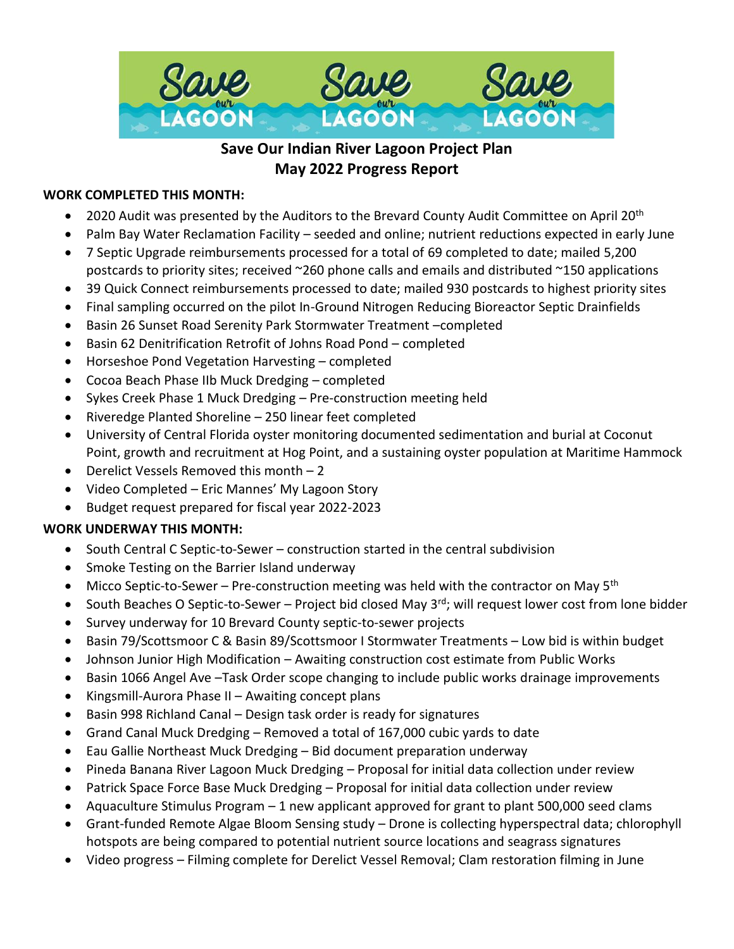

# **Save Our Indian River Lagoon Project Plan May 2022 Progress Report**

#### **WORK COMPLETED THIS MONTH:**

- 2020 Audit was presented by the Auditors to the Brevard County Audit Committee on April 20<sup>th</sup>
- Palm Bay Water Reclamation Facility seeded and online; nutrient reductions expected in early June
- 7 Septic Upgrade reimbursements processed for a total of 69 completed to date; mailed 5,200 postcards to priority sites; received ~260 phone calls and emails and distributed ~150 applications
- 39 Quick Connect reimbursements processed to date; mailed 930 postcards to highest priority sites
- Final sampling occurred on the pilot In-Ground Nitrogen Reducing Bioreactor Septic Drainfields
- Basin 26 Sunset Road Serenity Park Stormwater Treatment –completed
- Basin 62 Denitrification Retrofit of Johns Road Pond completed
- Horseshoe Pond Vegetation Harvesting completed
- Cocoa Beach Phase IIb Muck Dredging completed
- Sykes Creek Phase 1 Muck Dredging Pre-construction meeting held
- Riveredge Planted Shoreline 250 linear feet completed
- University of Central Florida oyster monitoring documented sedimentation and burial at Coconut Point, growth and recruitment at Hog Point, and a sustaining oyster population at Maritime Hammock
- Derelict Vessels Removed this month 2
- Video Completed Eric Mannes' My Lagoon Story
- Budget request prepared for fiscal year 2022-2023

#### **WORK UNDERWAY THIS MONTH:**

- South Central C Septic-to-Sewer construction started in the central subdivision
- Smoke Testing on the Barrier Island underway
- Micco Septic-to-Sewer Pre-construction meeting was held with the contractor on May  $5<sup>th</sup>$
- South Beaches O Septic-to-Sewer Project bid closed May  $3^{rd}$ ; will request lower cost from lone bidder
- Survey underway for 10 Brevard County septic-to-sewer projects
- Basin 79/Scottsmoor C & Basin 89/Scottsmoor I Stormwater Treatments Low bid is within budget
- Johnson Junior High Modification Awaiting construction cost estimate from Public Works
- Basin 1066 Angel Ave –Task Order scope changing to include public works drainage improvements
- Kingsmill-Aurora Phase II Awaiting concept plans
- Basin 998 Richland Canal Design task order is ready for signatures
- Grand Canal Muck Dredging Removed a total of 167,000 cubic yards to date
- Eau Gallie Northeast Muck Dredging Bid document preparation underway
- Pineda Banana River Lagoon Muck Dredging Proposal for initial data collection under review
- Patrick Space Force Base Muck Dredging Proposal for initial data collection under review
- Aquaculture Stimulus Program 1 new applicant approved for grant to plant 500,000 seed clams
- Grant-funded Remote Algae Bloom Sensing study Drone is collecting hyperspectral data; chlorophyll hotspots are being compared to potential nutrient source locations and seagrass signatures
- Video progress Filming complete for Derelict Vessel Removal; Clam restoration filming in June